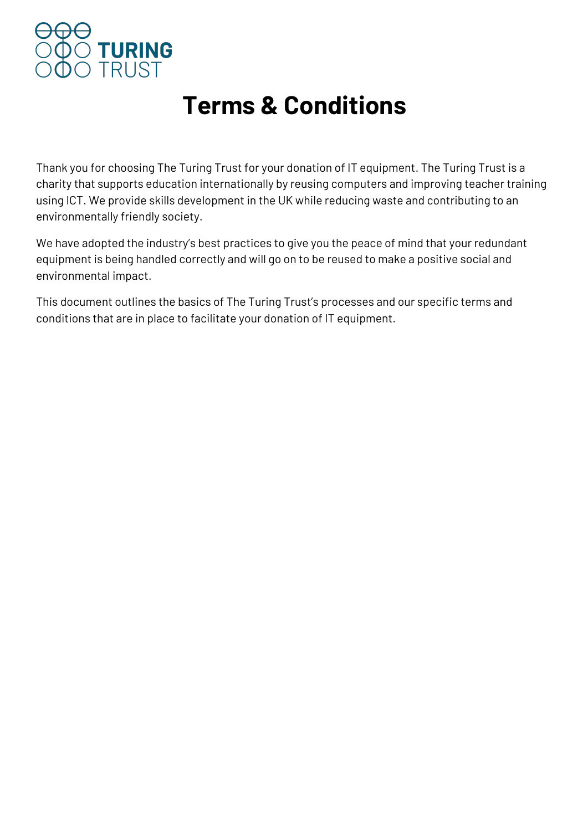

### **Terms & Conditions**

Thank you for choosing The Turing Trust for your donation of IT equipment. The Turing Trust is a charity that supports education internationally by reusing computers and improving teacher training using ICT. We provide skills development in the UK while reducing waste and contributing to an environmentally friendly society.

We have adopted the industry's best practices to give you the peace of mind that your redundant equipment is being handled correctly and will go on to be reused to make a positive social and environmental impact.

This document outlines the basics of The Turing Trust's processes and our specific terms and conditions that are in place to facilitate your donation of IT equipment.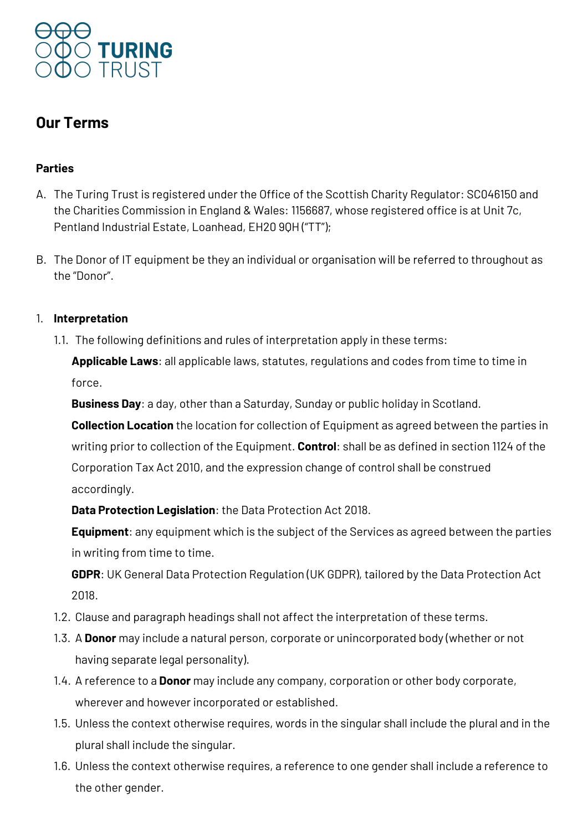

### **Our Terms**

### **Parties**

- A. The Turing Trust is registered under the Office of the Scottish Charity Regulator: SC046150 and the Charities Commission in England & Wales: 1156687, whose registered office is at Unit 7c, Pentland Industrial Estate, Loanhead, EH20 9QH ("TT");
- B. The Donor of IT equipment be they an individual or organisation will be referred to throughout as the "Donor".

### 1. **Interpretation**

1.1. The following definitions and rules of interpretation apply in these terms:

**Applicable Laws**: all applicable laws, statutes, regulations and codes from time to time in force.

**Business Day**: a day, other than a Saturday, Sunday or public holiday in Scotland.

**Collection Location** the location for collection of Equipment as agreed between the parties in writing prior to collection of the Equipment. **Control**: shall be as defined in section 1124 of the Corporation Tax Act 2010, and the expression change of control shall be construed accordingly.

**Data Protection Legislation**: the Data Protection Act 2018.

**Equipment**: any equipment which is the subject of the Services as agreed between the parties in writing from time to time.

**GDPR**: UK General Data Protection Regulation (UK GDPR), tailored by the Data Protection Act 2018.

- 1.2. Clause and paragraph headings shall not affect the interpretation of these terms.
- 1.3. A **Donor** may include a natural person, corporate or unincorporated body (whether or not having separate legal personality).
- 1.4. A reference to a **Donor** may include any company, corporation or other body corporate, wherever and however incorporated or established.
- 1.5. Unless the context otherwise requires, words in the singular shall include the plural and in the plural shall include the singular.
- 1.6. Unless the context otherwise requires, a reference to one gender shall include a reference to the other gender.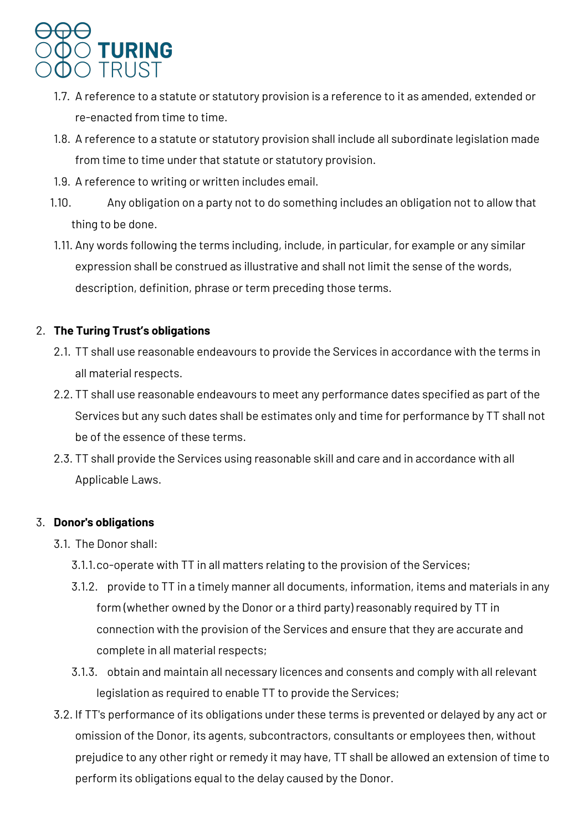

- 1.7. A reference to a statute or statutory provision is a reference to it as amended, extended or re-enacted from time to time.
- 1.8. A reference to a statute or statutory provision shall include all subordinate legislation made from time to time under that statute or statutory provision.
- 1.9. A reference to writing or written includes email.
- 1.10. Any obligation on a party not to do something includes an obligation not to allow that thing to be done.
- 1.11. Any words following the terms including, include, in particular, for example or any similar expression shall be construed as illustrative and shall not limit the sense of the words, description, definition, phrase or term preceding those terms.

### 2. **The Turing Trust's obligations**

- 2.1. TT shall use reasonable endeavours to provide the Services in accordance with the terms in all material respects.
- 2.2. TT shall use reasonable endeavours to meet any performance dates specified as part of the Services but any such dates shall be estimates only and time for performance by TT shall not be of the essence of these terms.
- 2.3. TT shall provide the Services using reasonable skill and care and in accordance with all Applicable Laws.

### 3. **Donor's obligations**

- 3.1. The Donor shall:
	- 3.1.1.co-operate with TT in all matters relating to the provision of the Services;
	- 3.1.2. provide to TT in a timely manner all documents, information, items and materials in any form (whether owned by the Donor or a third party) reasonably required by TT in connection with the provision of the Services and ensure that they are accurate and complete in all material respects;
	- 3.1.3. obtain and maintain all necessary licences and consents and comply with all relevant legislation as required to enable TT to provide the Services;
- 3.2. If TT's performance of its obligations under these terms is prevented or delayed by any act or omission of the Donor, its agents, subcontractors, consultants or employees then, without prejudice to any other right or remedy it may have, TT shall be allowed an extension of time to perform its obligations equal to the delay caused by the Donor.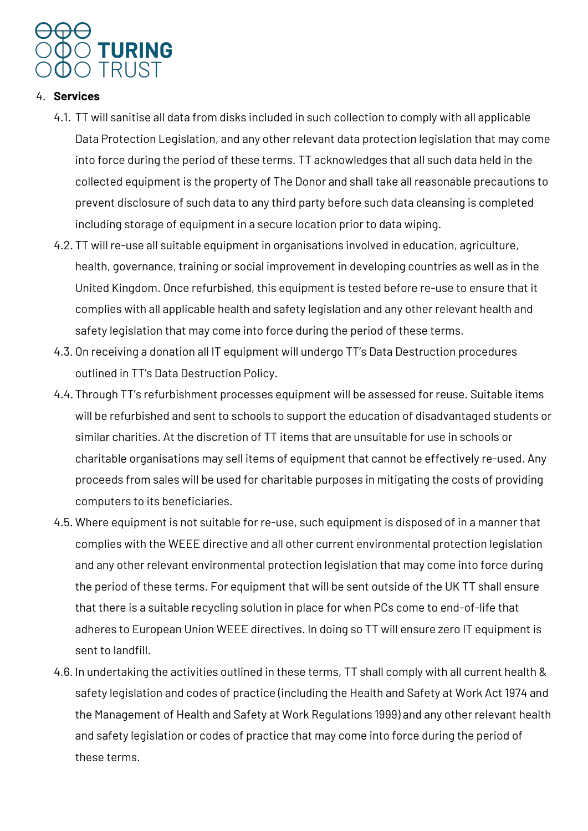

### 4. **Services**

- 4.1. TT will sanitise all data from disks included in such collection to comply with all applicable Data Protection Legislation, and any other relevant data protection legislation that may come into force during the period of these terms. TT acknowledges that all such data held in the collected equipment is the property of The Donor and shall take all reasonable precautions to prevent disclosure of such data to any third party before such data cleansing is completed including storage of equipment in a secure location prior to data wiping.
- 4.2. TT will re-use all suitable equipment in organisations involved in education, agriculture, health, governance, training or social improvement in developing countries as well as in the United Kingdom. Once refurbished, this equipment is tested before re-use to ensure that it complies with all applicable health and safety legislation and any other relevant health and safety legislation that may come into force during the period of these terms.
- 4.3. On receiving a donation all IT equipment will undergo TT's Data Destruction procedures outlined in TT's Data Destruction Policy.
- 4.4.Through TT's refurbishment processes equipment will be assessed for reuse. Suitable items will be refurbished and sent to schools to support the education of disadvantaged students or similar charities. At the discretion of TT items that are unsuitable for use in schools or charitable organisations may sell items of equipment that cannot be effectively re-used. Any proceeds from sales will be used for charitable purposes in mitigating the costs of providing computers to its beneficiaries.
- 4.5. Where equipment is not suitable for re-use, such equipment is disposed of in a manner that complies with the WEEE directive and all other current environmental protection legislation and any other relevant environmental protection legislation that may come into force during the period of these terms. For equipment that will be sent outside of the UK TT shall ensure that there is a suitable recycling solution in place for when PCs come to end-of-life that adheres to European Union WEEE directives. In doing so TT will ensure zero IT equipment is sent to landfill.
- 4.6. In undertaking the activities outlined in these terms, TT shall comply with all current health & safety legislation and codes of practice (including the Health and Safety at Work Act 1974 and the Management of Health and Safety at Work Regulations 1999) and any other relevant health and safety legislation or codes of practice that may come into force during the period of these terms.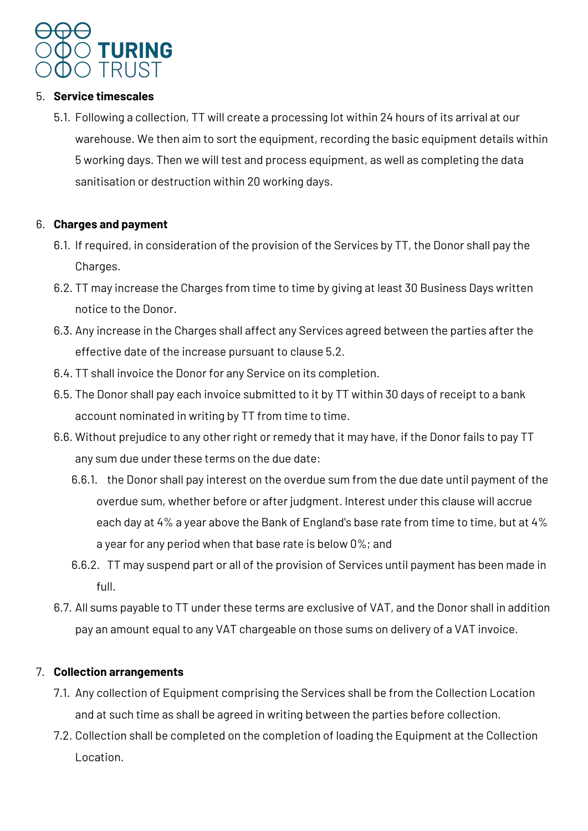

### 5. **Service timescales**

5.1. Following a collection, TT will create a processing lot within 24 hours of its arrival at our warehouse. We then aim to sort the equipment, recording the basic equipment details within 5 working days. Then we will test and process equipment, as well as completing the data sanitisation or destruction within 20 working days.

### 6. **Charges and payment**

- 6.1. If required, in consideration of the provision of the Services by TT, the Donor shall pay the Charges.
- 6.2. TT may increase the Charges from time to time by giving at least 30 Business Days written notice to the Donor.
- 6.3. Any increase in the Charges shall affect any Services agreed between the parties after the effective date of the increase pursuant to clause 5.2.
- 6.4. TT shall invoice the Donor for any Service on its completion.
- 6.5. The Donor shall pay each invoice submitted to it by TT within 30 days of receipt to a bank account nominated in writing by TT from time to time.
- 6.6. Without prejudice to any other right or remedy that it may have, if the Donor fails to pay TT any sum due under these terms on the due date:
	- 6.6.1. the Donor shall pay interest on the overdue sum from the due date until payment of the overdue sum, whether before or after judgment. Interest under this clause will accrue each day at 4% a year above the Bank of England's base rate from time to time, but at 4% a year for any period when that base rate is below 0%; and
	- 6.6.2. TT may suspend part or all of the provision of Services until payment has been made in full.
- 6.7. All sums payable to TT under these terms are exclusive of VAT, and the Donor shall in addition pay an amount equal to any VAT chargeable on those sums on delivery of a VAT invoice.

### 7. **Collection arrangements**

- 7.1. Any collection of Equipment comprising the Services shall be from the Collection Location and at such time as shall be agreed in writing between the parties before collection.
- 7.2. Collection shall be completed on the completion of loading the Equipment at the Collection Location.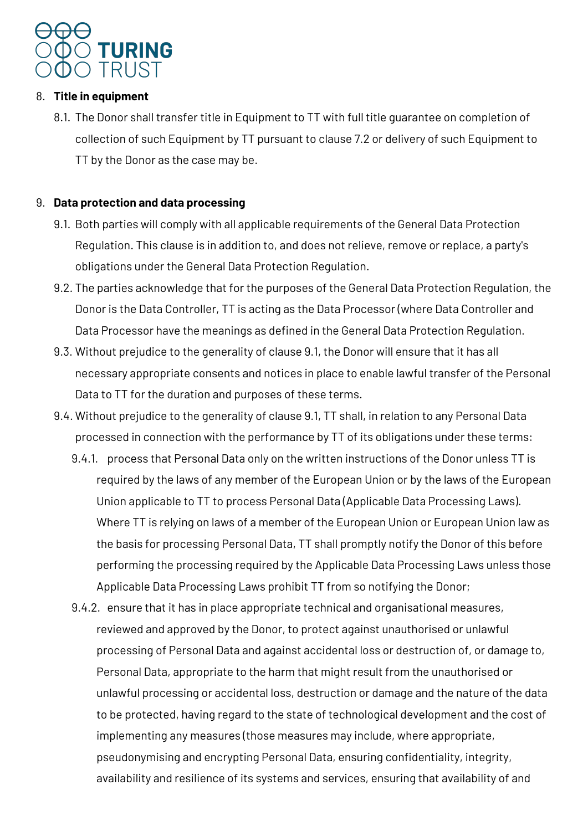

### 8. **Title in equipment**

8.1. The Donor shall transfer title in Equipment to TT with full title guarantee on completion of collection of such Equipment by TT pursuant to clause 7.2 or delivery of such Equipment to TT by the Donor as the case may be.

### 9. **Data protection and data processing**

- 9.1. Both parties will comply with all applicable requirements of the General Data Protection Regulation. This clause is in addition to, and does not relieve, remove or replace, a party's obligations under the General Data Protection Regulation.
- 9.2. The parties acknowledge that for the purposes of the General Data Protection Regulation, the Donor is the Data Controller, TT is acting as the Data Processor (where Data Controller and Data Processor have the meanings as defined in the General Data Protection Regulation.
- 9.3. Without prejudice to the generality of clause 9.1, the Donor will ensure that it has all necessary appropriate consents and notices in place to enable lawful transfer of the Personal Data to TT for the duration and purposes of these terms.
- 9.4. Without prejudice to the generality of clause 9.1, TT shall, in relation to any Personal Data processed in connection with the performance by TT of its obligations under these terms:
	- 9.4.1. process that Personal Data only on the written instructions of the Donor unless TT is required by the laws of any member of the European Union or by the laws of the European Union applicable to TT to process Personal Data (Applicable Data Processing Laws). Where TT is relying on laws of a member of the European Union or European Union law as the basis for processing Personal Data, TT shall promptly notify the Donor of this before performing the processing required by the Applicable Data Processing Laws unless those Applicable Data Processing Laws prohibit TT from so notifying the Donor;
	- 9.4.2. ensure that it has in place appropriate technical and organisational measures, reviewed and approved by the Donor, to protect against unauthorised or unlawful processing of Personal Data and against accidental loss or destruction of, or damage to, Personal Data, appropriate to the harm that might result from the unauthorised or unlawful processing or accidental loss, destruction or damage and the nature of the data to be protected, having regard to the state of technological development and the cost of implementing any measures (those measures may include, where appropriate, pseudonymising and encrypting Personal Data, ensuring confidentiality, integrity, availability and resilience of its systems and services, ensuring that availability of and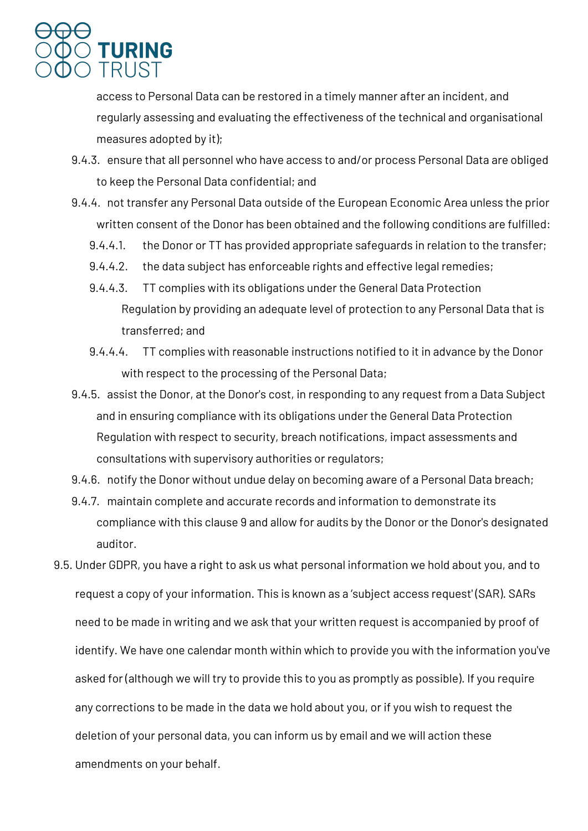

access to Personal Data can be restored in a timely manner after an incident, and regularly assessing and evaluating the effectiveness of the technical and organisational measures adopted by it);

- 9.4.3. ensure that all personnel who have access to and/or process Personal Data are obliged to keep the Personal Data confidential; and
- 9.4.4. not transfer any Personal Data outside of the European Economic Area unless the prior written consent of the Donor has been obtained and the following conditions are fulfilled:
	- 9.4.4.1. the Donor or TT has provided appropriate safeguards in relation to the transfer;
	- 9.4.4.2. the data subject has enforceable rights and effective legal remedies;
	- 9.4.4.3. TT complies with its obligations under the General Data Protection Regulation by providing an adequate level of protection to any Personal Data that is transferred; and
	- 9.4.4.4. TT complies with reasonable instructions notified to it in advance by the Donor with respect to the processing of the Personal Data;
- 9.4.5. assist the Donor, at the Donor's cost, in responding to any request from a Data Subject and in ensuring compliance with its obligations under the General Data Protection Regulation with respect to security, breach notifications, impact assessments and consultations with supervisory authorities or regulators;
- 9.4.6. notify the Donor without undue delay on becoming aware of a Personal Data breach;
- 9.4.7. maintain complete and accurate records and information to demonstrate its compliance with this clause 9 and allow for audits by the Donor or the Donor's designated auditor.
- 9.5. Under GDPR, you have a right to ask us what personal information we hold about you, and to request a copy of your information. This is known as a 'subject access request' (SAR). SARs need to be made in writing and we ask that your written request is accompanied by proof of identify. We have one calendar month within which to provide you with the information you've asked for (although we will try to provide this to you as promptly as possible). If you require any corrections to be made in the data we hold about you, or if you wish to request the deletion of your personal data, you can inform us by email and we will action these amendments on your behalf.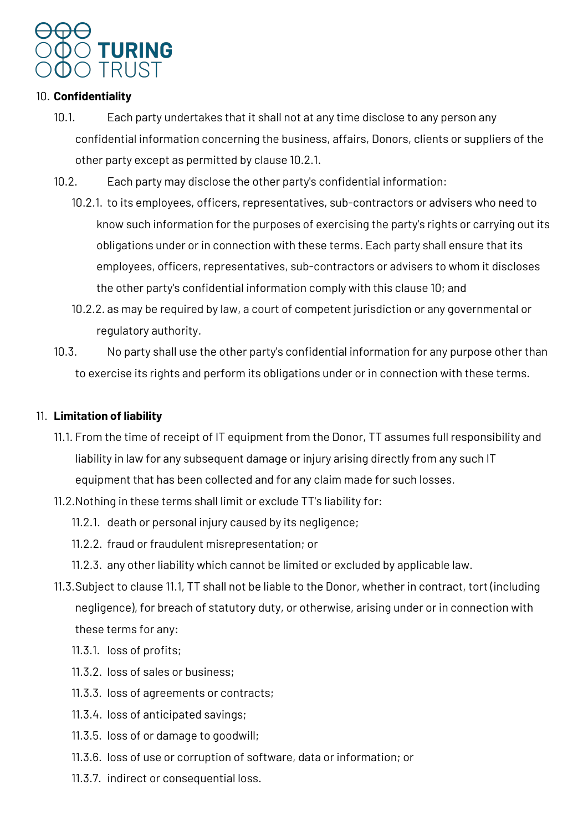

### 10. **Confidentiality**

- 10.1. Each party undertakes that it shall not at any time disclose to any person any confidential information concerning the business, affairs, Donors, clients or suppliers of the other party except as permitted by clause 10.2.1.
- 10.2. Each party may disclose the other party's confidential information:
	- 10.2.1. to its employees, officers, representatives, sub-contractors or advisers who need to know such information for the purposes of exercising the party's rights or carrying out its obligations under or in connection with these terms. Each party shall ensure that its employees, officers, representatives, sub-contractors or advisers to whom it discloses the other party's confidential information comply with this clause 10; and
	- 10.2.2. as may be required by law, a court of competent jurisdiction or any governmental or regulatory authority.
- 10.3. No party shall use the other party's confidential information for any purpose other than to exercise its rights and perform its obligations under or in connection with these terms.

#### 11. **Limitation of liability**

- 11.1. From the time of receipt of IT equipment from the Donor, TT assumes full responsibility and liability in law for any subsequent damage or injury arising directly from any such IT equipment that has been collected and for any claim made for such losses.
- 11.2.Nothing in these terms shall limit or exclude TT's liability for:
	- 11.2.1. death or personal injury caused by its negligence;
	- 11.2.2. fraud or fraudulent misrepresentation; or
	- 11.2.3. any other liability which cannot be limited or excluded by applicable law.
- 11.3.Subject to clause 11.1, TT shall not be liable to the Donor, whether in contract, tort (including negligence), for breach of statutory duty, or otherwise, arising under or in connection with these terms for any:
	- 11.3.1. loss of profits;
	- 11.3.2. loss of sales or business;
	- 11.3.3. loss of agreements or contracts;
	- 11.3.4. loss of anticipated savings;
	- 11.3.5. loss of or damage to goodwill;
	- 11.3.6. loss of use or corruption of software, data or information; or
	- 11.3.7. indirect or consequential loss.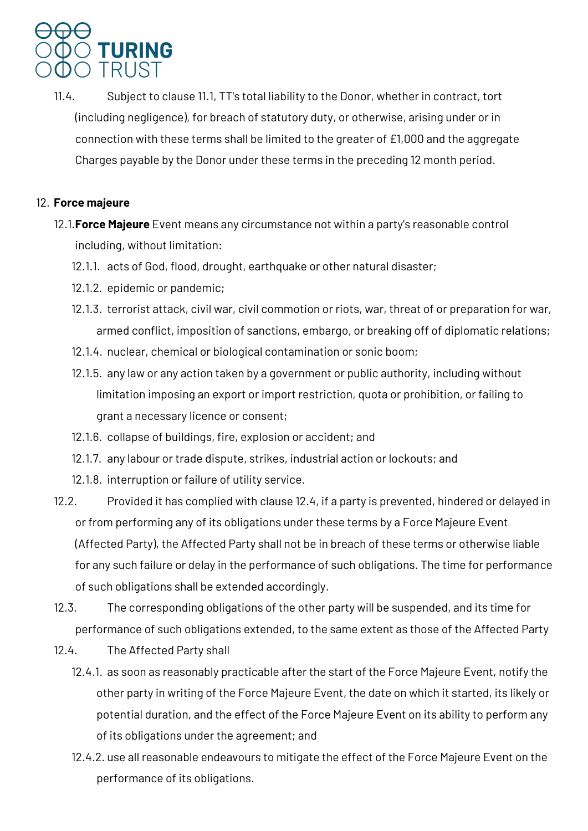## TURING **TRUST**

11.4. Subject to clause 11.1, TT's total liability to the Donor, whether in contract, tort (including negligence), for breach of statutory duty, or otherwise, arising under or in connection with these terms shall be limited to the greater of £1,000 and the aggregate Charges payable by the Donor under these terms in the preceding 12 month period.

### 12. **Force majeure**

- 12.1.**Force Majeure** Event means any circumstance not within a party's reasonable control including, without limitation:
	- 12.1.1. acts of God, flood, drought, earthquake or other natural disaster;
	- 12.1.2. epidemic or pandemic;
	- 12.1.3. terrorist attack, civil war, civil commotion or riots, war, threat of or preparation for war, armed conflict, imposition of sanctions, embargo, or breaking off of diplomatic relations;
	- 12.1.4. nuclear, chemical or biological contamination or sonic boom;
	- 12.1.5. any law or any action taken by a government or public authority, including without limitation imposing an export or import restriction, quota or prohibition, or failing to grant a necessary licence or consent;
	- 12.1.6. collapse of buildings, fire, explosion or accident; and
	- 12.1.7. any labour or trade dispute, strikes, industrial action or lockouts; and
	- 12.1.8. interruption or failure of utility service.
- 12.2. Provided it has complied with clause 12.4, if a party is prevented, hindered or delayed in or from performing any of its obligations under these terms by a Force Majeure Event (Affected Party), the Affected Party shall not be in breach of these terms or otherwise liable for any such failure or delay in the performance of such obligations. The time for performance of such obligations shall be extended accordingly.
- 12.3. The corresponding obligations of the other party will be suspended, and its time for performance of such obligations extended, to the same extent as those of the Affected Party
- 12.4. The Affected Party shall
	- 12.4.1. as soon as reasonably practicable after the start of the Force Majeure Event, notify the other party in writing of the Force Majeure Event, the date on which it started, its likely or potential duration, and the effect of the Force Majeure Event on its ability to perform any of its obligations under the agreement; and
	- 12.4.2. use all reasonable endeavours to mitigate the effect of the Force Majeure Event on the performance of its obligations.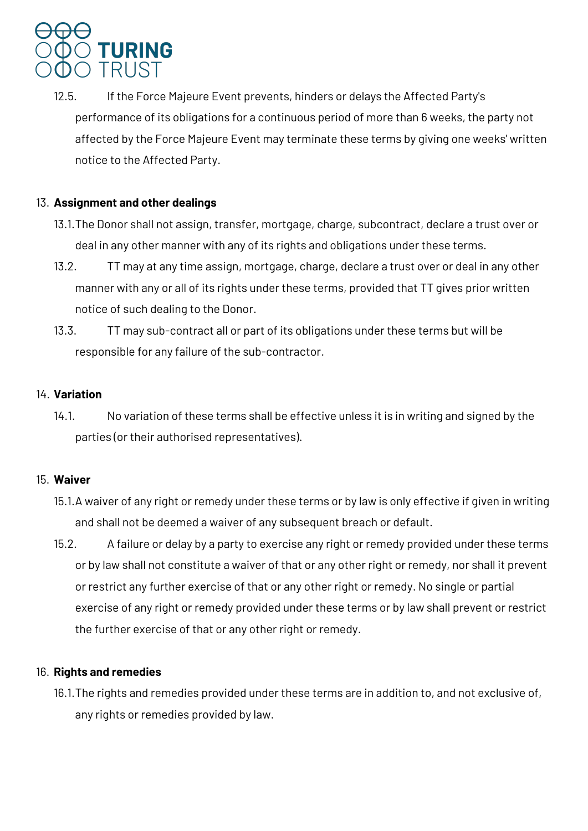# **TURING** TRUST

12.5. If the Force Majeure Event prevents, hinders or delays the Affected Party's performance of its obligations for a continuous period of more than 6 weeks, the party not affected by the Force Majeure Event may terminate these terms by giving one weeks' written notice to the Affected Party.

### 13. **Assignment and other dealings**

- 13.1.The Donor shall not assign, transfer, mortgage, charge, subcontract, declare a trust over or deal in any other manner with any of its rights and obligations under these terms.
- 13.2. TT may at any time assign, mortgage, charge, declare a trust over or deal in any other manner with any or all of its rights under these terms, provided that TT gives prior written notice of such dealing to the Donor.
- 13.3. TT may sub-contract all or part of its obligations under these terms but will be responsible for any failure of the sub-contractor.

### 14. **Variation**

14.1. No variation of these terms shall be effective unless it is in writing and signed by the parties (or their authorised representatives).

### 15. **Waiver**

- 15.1.A waiver of any right or remedy under these terms or by law is only effective if given in writing and shall not be deemed a waiver of any subsequent breach or default.
- 15.2. A failure or delay by a party to exercise any right or remedy provided under these terms or by law shall not constitute a waiver of that or any other right or remedy, nor shall it prevent or restrict any further exercise of that or any other right or remedy. No single or partial exercise of any right or remedy provided under these terms or by law shall prevent or restrict the further exercise of that or any other right or remedy.

### 16. **Rights and remedies**

16.1.The rights and remedies provided under these terms are in addition to, and not exclusive of, any rights or remedies provided by law.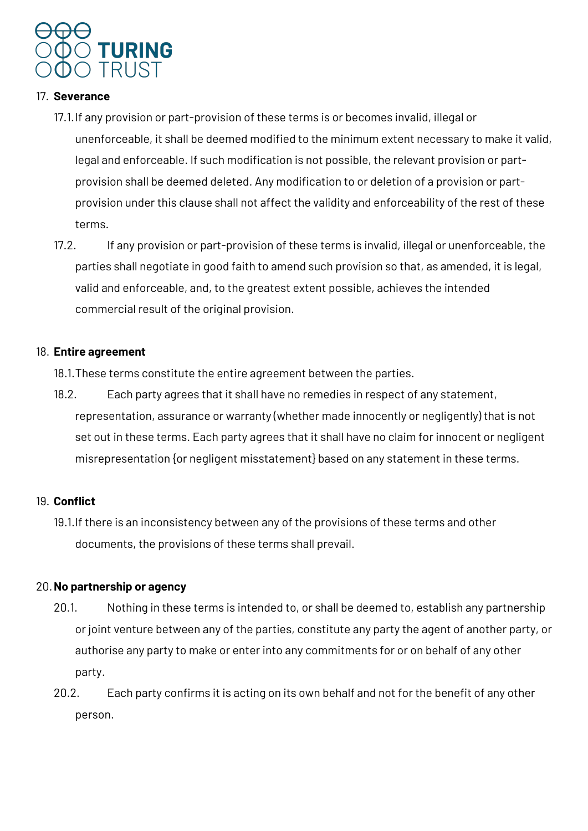

#### 17. **Severance**

- 17.1.If any provision or part-provision of these terms is or becomes invalid, illegal or unenforceable, it shall be deemed modified to the minimum extent necessary to make it valid, legal and enforceable. If such modification is not possible, the relevant provision or partprovision shall be deemed deleted. Any modification to or deletion of a provision or partprovision under this clause shall not affect the validity and enforceability of the rest of these terms.
- 17.2. If any provision or part-provision of these terms is invalid, illegal or unenforceable, the parties shall negotiate in good faith to amend such provision so that, as amended, it is legal, valid and enforceable, and, to the greatest extent possible, achieves the intended commercial result of the original provision.

### 18. **Entire agreement**

18.1.These terms constitute the entire agreement between the parties.

18.2. Each party agrees that it shall have no remedies in respect of any statement, representation, assurance or warranty (whether made innocently or negligently) that is not set out in these terms. Each party agrees that it shall have no claim for innocent or negligent misrepresentation {or negligent misstatement} based on any statement in these terms.

### 19. **Conflict**

19.1.If there is an inconsistency between any of the provisions of these terms and other documents, the provisions of these terms shall prevail.

### 20.**No partnership or agency**

- 20.1. Nothing in these terms is intended to, or shall be deemed to, establish any partnership or joint venture between any of the parties, constitute any party the agent of another party, or authorise any party to make or enter into any commitments for or on behalf of any other party.
- 20.2. Each party confirms it is acting on its own behalf and not for the benefit of any other person.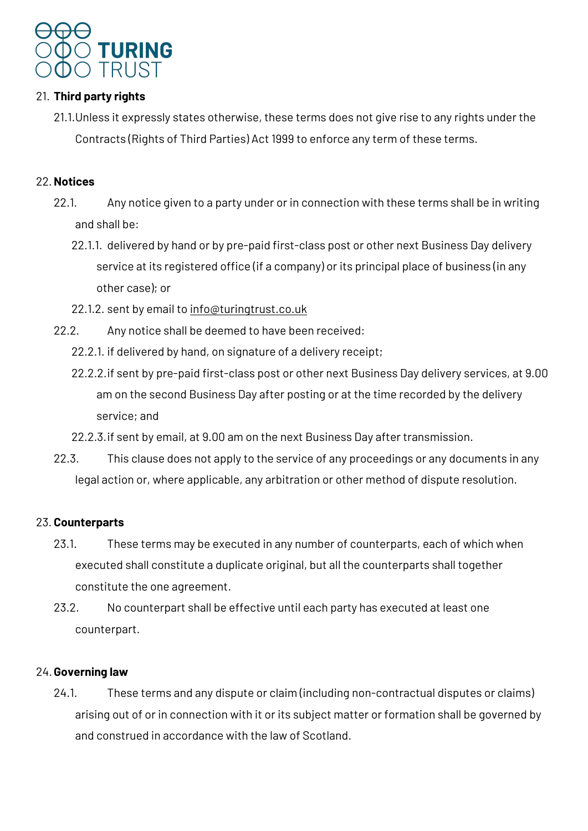

### 21. **Third party rights**

21.1.Unless it expressly states otherwise, these terms does not give rise to any rights under the Contracts (Rights of Third Parties) Act 1999 to enforce any term of these terms.

### 22.**Notices**

- 22.1. Any notice given to a party under or in connection with these terms shall be in writing and shall be:
	- 22.1.1. delivered by hand or by pre-paid first-class post or other next Business Day delivery service at its registered office (if a company) or its principal place of business (in any other case); or
	- 22.1.2. sent by email to info@turingtrust.co.uk
- 22.2. Any notice shall be deemed to have been received:
	- 22.2.1. if delivered by hand, on signature of a delivery receipt;
	- 22.2.2.if sent by pre-paid first-class post or other next Business Day delivery services, at 9.00 am on the second Business Day after posting or at the time recorded by the delivery service; and
	- 22.2.3.if sent by email, at 9.00 am on the next Business Day after transmission.
- 22.3. This clause does not apply to the service of any proceedings or any documents in any legal action or, where applicable, any arbitration or other method of dispute resolution.

### 23. **Counterparts**

- 23.1. These terms may be executed in any number of counterparts, each of which when executed shall constitute a duplicate original, but all the counterparts shall together constitute the one agreement.
- 23.2. No counterpart shall be effective until each party has executed at least one counterpart.

### 24.**Governing law**

24.1. These terms and any dispute or claim (including non-contractual disputes or claims) arising out of or in connection with it or its subject matter or formation shall be governed by and construed in accordance with the law of Scotland.